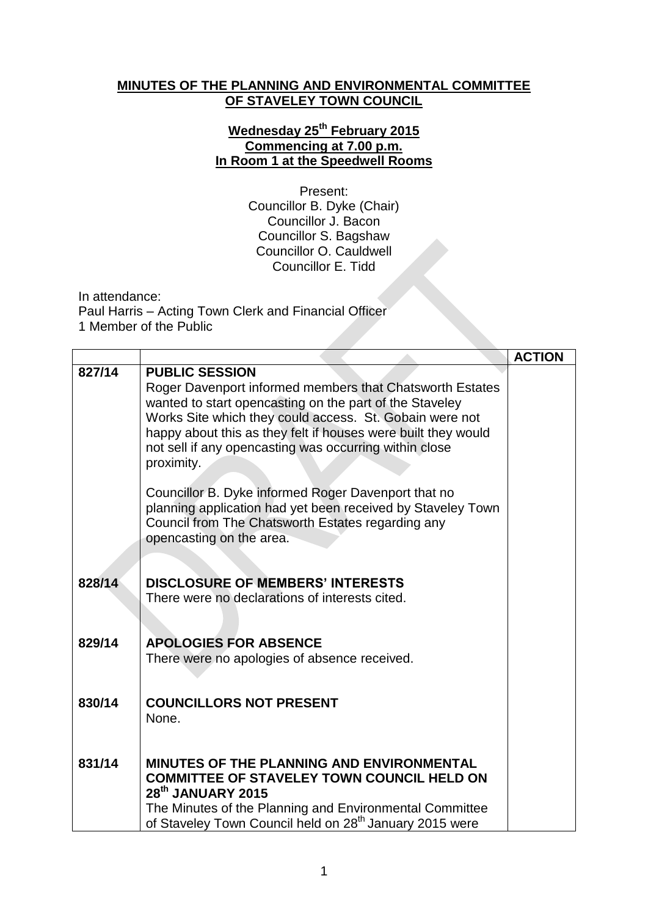## **MINUTES OF THE PLANNING AND ENVIRONMENTAL COMMITTEE OF STAVELEY TOWN COUNCIL**

## **Wednesday 25 th February 2015 Commencing at 7.00 p.m. In Room 1 at the Speedwell Rooms**

Present: Councillor B. Dyke (Chair) Councillor J. Bacon Councillor S. Bagshaw Councillor O. Cauldwell Councillor E. Tidd

In attendance:

Paul Harris – Acting Town Clerk and Financial Officer 1 Member of the Public

|        |                                                                                                                    | <b>ACTION</b> |
|--------|--------------------------------------------------------------------------------------------------------------------|---------------|
| 827/14 | <b>PUBLIC SESSION</b>                                                                                              |               |
|        | Roger Davenport informed members that Chatsworth Estates                                                           |               |
|        | wanted to start opencasting on the part of the Staveley<br>Works Site which they could access. St. Gobain were not |               |
|        | happy about this as they felt if houses were built they would                                                      |               |
|        | not sell if any opencasting was occurring within close                                                             |               |
|        | proximity.                                                                                                         |               |
|        | Councillor B. Dyke informed Roger Davenport that no                                                                |               |
|        | planning application had yet been received by Staveley Town                                                        |               |
|        | Council from The Chatsworth Estates regarding any<br>opencasting on the area.                                      |               |
|        |                                                                                                                    |               |
|        |                                                                                                                    |               |
| 828/14 | <b>DISCLOSURE OF MEMBERS' INTERESTS</b>                                                                            |               |
|        | There were no declarations of interests cited.                                                                     |               |
|        |                                                                                                                    |               |
| 829/14 | <b>APOLOGIES FOR ABSENCE</b>                                                                                       |               |
|        | There were no apologies of absence received.                                                                       |               |
|        |                                                                                                                    |               |
| 830/14 | <b>COUNCILLORS NOT PRESENT</b>                                                                                     |               |
|        | None.                                                                                                              |               |
|        |                                                                                                                    |               |
| 831/14 | <b>MINUTES OF THE PLANNING AND ENVIRONMENTAL</b>                                                                   |               |
|        | <b>COMMITTEE OF STAVELEY TOWN COUNCIL HELD ON</b>                                                                  |               |
|        | 28 <sup>th</sup> JANUARY 2015                                                                                      |               |
|        | The Minutes of the Planning and Environmental Committee                                                            |               |
|        | of Staveley Town Council held on 28 <sup>th</sup> January 2015 were                                                |               |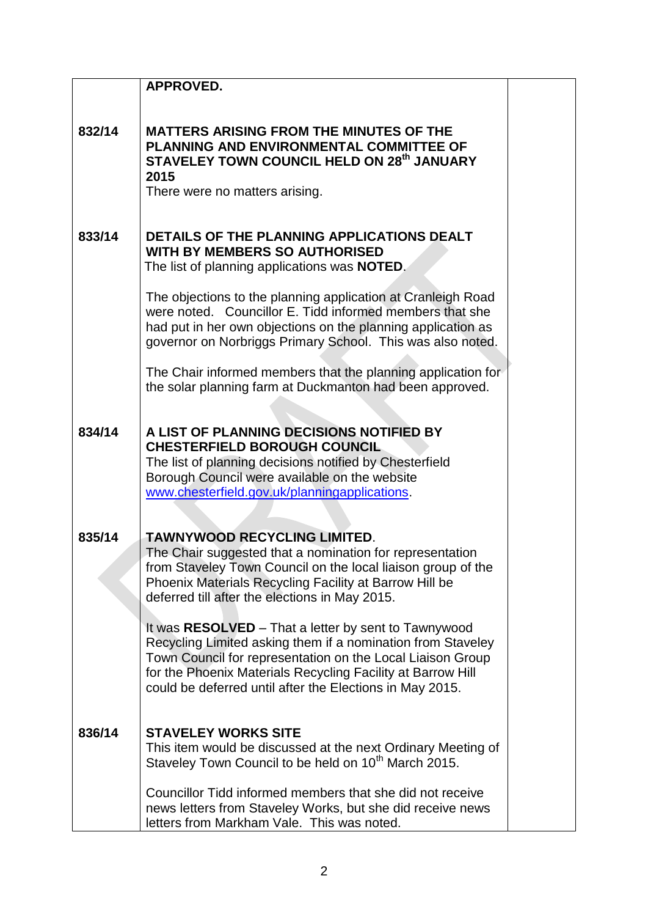|        | <b>APPROVED.</b>                                                                                                                                                                                                                                                                                             |  |
|--------|--------------------------------------------------------------------------------------------------------------------------------------------------------------------------------------------------------------------------------------------------------------------------------------------------------------|--|
| 832/14 | <b>MATTERS ARISING FROM THE MINUTES OF THE</b><br>PLANNING AND ENVIRONMENTAL COMMITTEE OF<br>STAVELEY TOWN COUNCIL HELD ON 28th JANUARY<br>2015<br>There were no matters arising.                                                                                                                            |  |
| 833/14 | DETAILS OF THE PLANNING APPLICATIONS DEALT<br><b>WITH BY MEMBERS SO AUTHORISED</b><br>The list of planning applications was <b>NOTED</b> .                                                                                                                                                                   |  |
|        | The objections to the planning application at Cranleigh Road<br>were noted. Councillor E. Tidd informed members that she<br>had put in her own objections on the planning application as<br>governor on Norbriggs Primary School. This was also noted.                                                       |  |
|        | The Chair informed members that the planning application for<br>the solar planning farm at Duckmanton had been approved.                                                                                                                                                                                     |  |
| 834/14 | A LIST OF PLANNING DECISIONS NOTIFIED BY<br><b>CHESTERFIELD BOROUGH COUNCIL</b><br>The list of planning decisions notified by Chesterfield<br>Borough Council were available on the website<br>www.chesterfield.gov.uk/planningapplications.                                                                 |  |
| 835/14 | <b>TAWNYWOOD RECYCLING LIMITED.</b><br>The Chair suggested that a nomination for representation<br>from Staveley Town Council on the local liaison group of the<br>Phoenix Materials Recycling Facility at Barrow Hill be<br>deferred till after the elections in May 2015.                                  |  |
|        | It was RESOLVED - That a letter by sent to Tawnywood<br>Recycling Limited asking them if a nomination from Staveley<br>Town Council for representation on the Local Liaison Group<br>for the Phoenix Materials Recycling Facility at Barrow Hill<br>could be deferred until after the Elections in May 2015. |  |
| 836/14 | <b>STAVELEY WORKS SITE</b><br>This item would be discussed at the next Ordinary Meeting of<br>Staveley Town Council to be held on 10 <sup>th</sup> March 2015.                                                                                                                                               |  |
|        | Councillor Tidd informed members that she did not receive<br>news letters from Staveley Works, but she did receive news<br>letters from Markham Vale. This was noted.                                                                                                                                        |  |